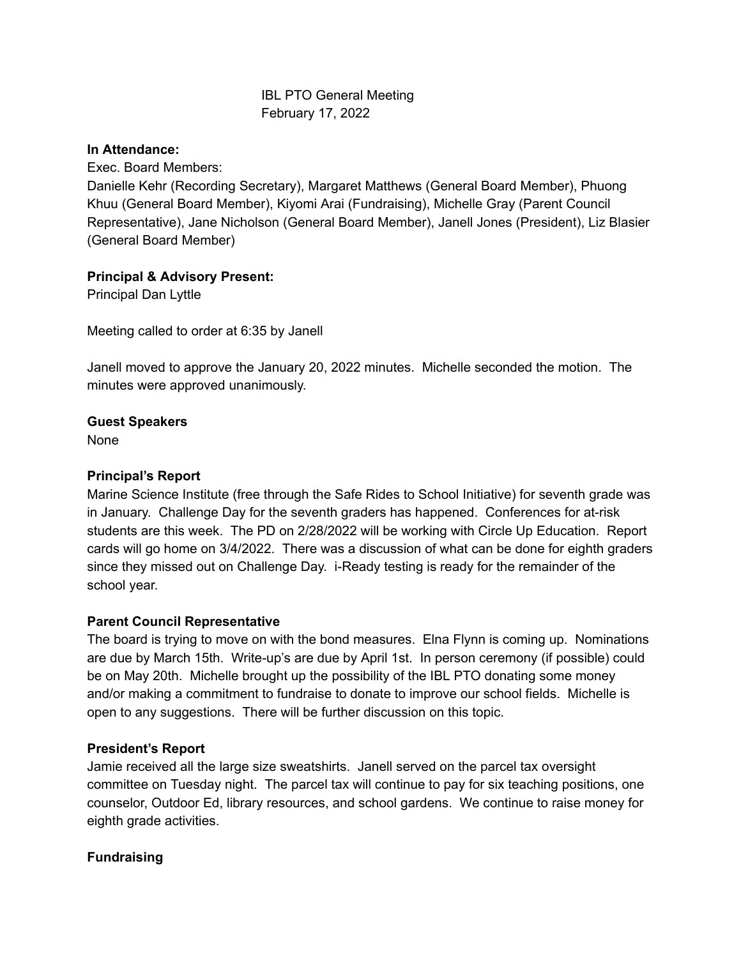# IBL PTO General Meeting February 17, 2022

#### **In Attendance:**

Exec. Board Members:

Danielle Kehr (Recording Secretary), Margaret Matthews (General Board Member), Phuong Khuu (General Board Member), Kiyomi Arai (Fundraising), Michelle Gray (Parent Council Representative), Jane Nicholson (General Board Member), Janell Jones (President), Liz Blasier (General Board Member)

#### **Principal & Advisory Present:**

Principal Dan Lyttle

Meeting called to order at 6:35 by Janell

Janell moved to approve the January 20, 2022 minutes. Michelle seconded the motion. The minutes were approved unanimously.

## **Guest Speakers**

None

### **Principal's Report**

Marine Science Institute (free through the Safe Rides to School Initiative) for seventh grade was in January. Challenge Day for the seventh graders has happened. Conferences for at-risk students are this week. The PD on 2/28/2022 will be working with Circle Up Education. Report cards will go home on 3/4/2022. There was a discussion of what can be done for eighth graders since they missed out on Challenge Day. i-Ready testing is ready for the remainder of the school year.

#### **Parent Council Representative**

The board is trying to move on with the bond measures. Elna Flynn is coming up. Nominations are due by March 15th. Write-up's are due by April 1st. In person ceremony (if possible) could be on May 20th. Michelle brought up the possibility of the IBL PTO donating some money and/or making a commitment to fundraise to donate to improve our school fields. Michelle is open to any suggestions. There will be further discussion on this topic.

#### **President's Report**

Jamie received all the large size sweatshirts. Janell served on the parcel tax oversight committee on Tuesday night. The parcel tax will continue to pay for six teaching positions, one counselor, Outdoor Ed, library resources, and school gardens. We continue to raise money for eighth grade activities.

#### **Fundraising**